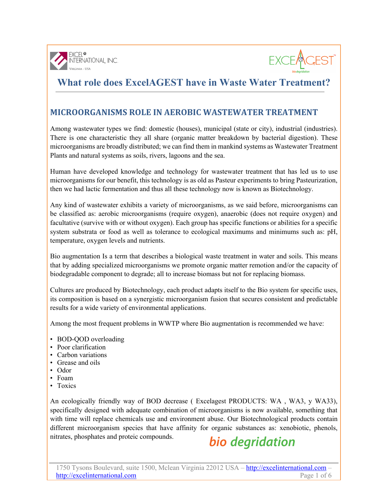



### **MICROORGANISMS ROLE IN AEROBIC WASTEWATER TREATMENT**

Among wastewater types we find: domestic (houses), municipal (state or city), industrial (industries). There is one characteristic they all share (organic matter breakdown by bacterial digestion). These microorganisms are broadly distributed; we can find them in mankind systems as Wastewater Treatment Plants and natural systems as soils, rivers, lagoons and the sea.

Human have developed knowledge and technology for wastewater treatment that has led us to use microorganisms for our benefit, this technology is as old as Pasteur experiments to bring Pasteurization, then we had lactic fermentation and thus all these technology now is known as Biotechnology.

Any kind of wastewater exhibits a variety of microorganisms, as we said before, microorganisms can be classified as: aerobic microorganisms (require oxygen), anaerobic (does not require oxygen) and facultative (survive with or without oxygen). Each group has specific functions or abilities for a specific system substrata or food as well as tolerance to ecological maximums and minimums such as: pH, temperature, oxygen levels and nutrients.

Bio augmentation Is a term that describes a biological waste treatment in water and soils. This means that by adding specialized microorganisms we promote organic matter remotion and/or the capacity of biodegradable component to degrade; all to increase biomass but not for replacing biomass.

Cultures are produced by Biotechnology, each product adapts itself to the Bio system for specific uses, its composition is based on a synergistic microorganism fusion that secures consistent and predictable results for a wide variety of environmental applications.

Among the most frequent problems in WWTP where Bio augmentation is recommended we have:

- BOD-OOD overloading
- Poor clarification
- Carbon variations
- Grease and oils
- Odor
- Foam
- Toxics

An ecologically friendly way of BOD decrease ( Excelagest PRODUCTS: WA , WA3, y WA33), specifically designed with adequate combination of microorganisms is now available, something that with time will replace chemicals use and environment abuse. Our Biotechnological products contain different microorganism species that have affinity for organic substances as: xenobiotic, phenols, nitrates, phosphates and proteic compounds.

# bio degridation

1750 Tysons Boulevard, suite 1500, Mclean Virginia 22012 USA – http://excelinternational.com – http://excelinternational.com Page 1 of 6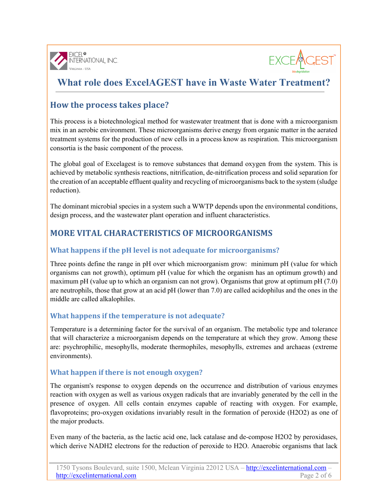



## **How the process takes place?**

This process is a biotechnological method for wastewater treatment that is done with a microorganism mix in an aerobic environment. These microorganisms derive energy from organic matter in the aerated treatment systems for the production of new cells in a process know as respiration. This microorganism consortia is the basic component of the process.

The global goal of Excelagest is to remove substances that demand oxygen from the system. This is achieved by metabolic synthesis reactions, nitrification, de-nitrification process and solid separation for the creation of an acceptable effluent quality and recycling of microorganisms back to the system (sludge reduction).

The dominant microbial species in a system such a WWTP depends upon the environmental conditions, design process, and the wastewater plant operation and influent characteristics.

## **MORE VITAL CHARACTERISTICS OF MICROORGANISMS**

### **What happens if the pH level is not adequate for microorganisms?**

Three points define the range in pH over which microorganism grow: minimum pH (value for which organisms can not growth), optimum pH (value for which the organism has an optimum growth) and maximum pH (value up to which an organism can not grow). Organisms that grow at optimum pH (7.0) are neutrophils, those that grow at an acid pH (lower than 7.0) are called acidophilus and the ones in the middle are called alkalophiles.

### **What happens if the temperature is not adequate?**

Temperature is a determining factor for the survival of an organism. The metabolic type and tolerance that will characterize a microorganism depends on the temperature at which they grow. Among these are: psychrophilic, mesophylls, moderate thermophiles, mesophylls, extremes and archaeas (extreme environments).

### **What happen if there is not enough oxygen?**

The organism's response to oxygen depends on the occurrence and distribution of various enzymes reaction with oxygen as well as various oxygen radicals that are invariably generated by the cell in the presence of oxygen. All cells contain enzymes capable of reacting with oxygen. For example, flavoproteins; pro-oxygen oxidations invariably result in the formation of peroxide (H2O2) as one of the major products.

Even many of the bacteria, as the lactic acid one, lack catalase and de-compose H2O2 by peroxidases, which derive NADH2 electrons for the reduction of peroxide to H2O. Anaerobic organisms that lack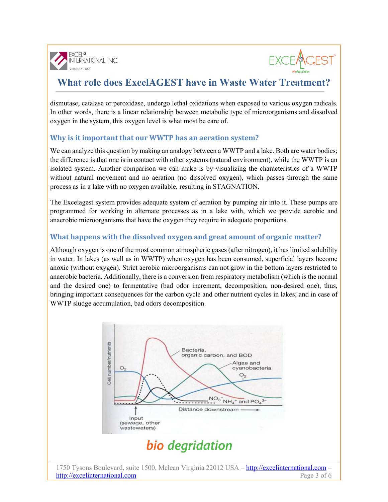



dismutase, catalase or peroxidase, undergo lethal oxidations when exposed to various oxygen radicals. In other words, there is a linear relationship between metabolic type of microorganisms and dissolved oxygen in the system, this oxygen level is what most be care of.

#### **Why is it important that our WWTP has an aeration system?**

We can analyze this question by making an analogy between a WWTP and a lake. Both are water bodies; the difference is that one is in contact with other systems (natural environment), while the WWTP is an isolated system. Another comparison we can make is by visualizing the characteristics of a WWTP without natural movement and no aeration (no dissolved oxygen), which passes through the same process as in a lake with no oxygen available, resulting in STAGNATION.

The Excelagest system provides adequate system of aeration by pumping air into it. These pumps are programmed for working in alternate processes as in a lake with, which we provide aerobic and anaerobic microorganisms that have the oxygen they require in adequate proportions.

#### **What happens with the dissolved oxygen and great amount of organic matter?**

Although oxygen is one of the most common atmospheric gases (after nitrogen), it has limited solubility in water. In lakes (as well as in WWTP) when oxygen has been consumed, superficial layers become anoxic (without oxygen). Strict aerobic microorganisms can not grow in the bottom layers restricted to anaerobic bacteria. Additionally, there is a conversion from respiratory metabolism (which is the normal and the desired one) to fermentative (bad odor increment, decomposition, non-desired one), thus, bringing important consequences for the carbon cycle and other nutrient cycles in lakes; and in case of WWTP sludge accumulation, bad odors decomposition.



#### 1750 Tysons Boulevard, suite 1500, Mclean Virginia 22012 USA – http://excelinternational.com – http://excelinternational.com Page 3 of 6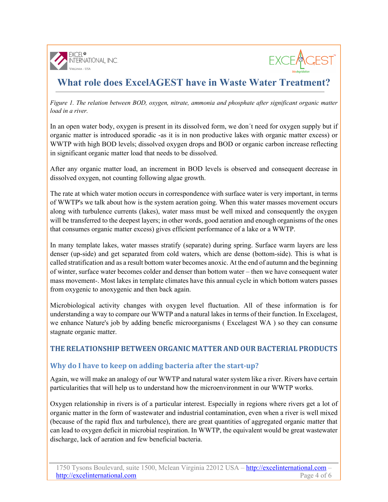



*Figure 1. The relation between BOD, oxygen, nitrate, ammonia and phosphate after significant organic matter load in a river.*

In an open water body, oxygen is present in its dissolved form, we don´t need for oxygen supply but if organic matter is introduced sporadic -as it is in non productive lakes with organic matter excess) or WWTP with high BOD levels; dissolved oxygen drops and BOD or organic carbon increase reflecting in significant organic matter load that needs to be dissolved.

After any organic matter load, an increment in BOD levels is observed and consequent decrease in dissolved oxygen, not counting following algae growth.

The rate at which water motion occurs in correspondence with surface water is very important, in terms of WWTP's we talk about how is the system aeration going. When this water masses movement occurs along with turbulence currents (lakes), water mass must be well mixed and consequently the oxygen will be transferred to the deepest layers; in other words, good aeration and enough organisms of the ones that consumes organic matter excess) gives efficient performance of a lake or a WWTP.

In many template lakes, water masses stratify (separate) during spring. Surface warm layers are less denser (up-side) and get separated from cold waters, which are dense (bottom-side). This is what is called stratification and as a result bottom water becomes anoxic. At the end of autumn and the beginning of winter, surface water becomes colder and denser than bottom water – then we have consequent water mass movement-. Most lakes in template climates have this annual cycle in which bottom waters passes from oxygenic to anoxygenic and then back again.

Microbiological activity changes with oxygen level fluctuation. All of these information is for understanding a way to compare our WWTP and a natural lakes in terms of their function. In Excelagest, we enhance Nature's job by adding benefic microorganisms ( Excelagest WA ) so they can consume stagnate organic matter.

#### **THE RELATIONSHIP BETWEEN ORGANIC MATTER AND OUR BACTERIAL PRODUCTS**

#### **Why do I have to keep on adding bacteria after the start-up?**

Again, we will make an analogy of our WWTP and natural water system like a river. Rivers have certain particularities that will help us to understand how the microenvironment in our WWTP works.

Oxygen relationship in rivers is of a particular interest. Especially in regions where rivers get a lot of organic matter in the form of wastewater and industrial contamination, even when a river is well mixed (because of the rapid flux and turbulence), there are great quantities of aggregated organic matter that can lead to oxygen deficit in microbial respiration. In WWTP, the equivalent would be great wastewater discharge, lack of aeration and few beneficial bacteria.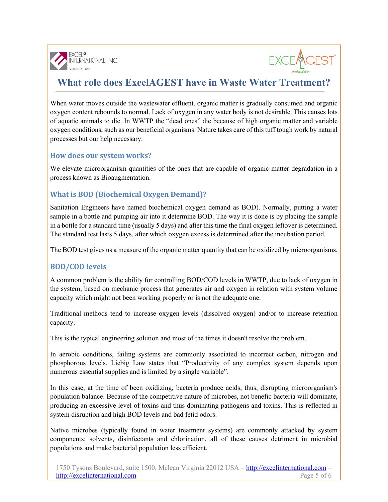



When water moves outside the wastewater effluent, organic matter is gradually consumed and organic oxygen content rebounds to normal. Lack of oxygen in any water body is not desirable. This causes lots of aquatic animals to die. In WWTP the "dead ones" die because of high organic matter and variable oxygen conditions, such as our beneficial organisms. Nature takes care of this tuff tough work by natural processes but our help necessary.

#### **How does our system works?**

We elevate microorganism quantities of the ones that are capable of organic matter degradation in a process known as Bioaugmentation.

### **What is BOD** (Biochemical Oxygen Demand)?

Sanitation Engineers have named biochemical oxygen demand as BOD). Normally, putting a water sample in a bottle and pumping air into it determine BOD. The way it is done is by placing the sample in a bottle for a standard time (usually 5 days) and after this time the final oxygen leftover is determined. The standard test lasts 5 days, after which oxygen excess is determined after the incubation period.

The BOD test gives us a measure of the organic matter quantity that can be oxidized by microorganisms.

### **BOD/COD levels**

A common problem is the ability for controlling BOD/COD levels in WWTP, due to lack of oxygen in the system, based on mechanic process that generates air and oxygen in relation with system volume capacity which might not been working properly or is not the adequate one.

Traditional methods tend to increase oxygen levels (dissolved oxygen) and/or to increase retention capacity.

This is the typical engineering solution and most of the times it doesn't resolve the problem.

In aerobic conditions, failing systems are commonly associated to incorrect carbon, nitrogen and phosphorous levels. Liebig Law states that "Productivity of any complex system depends upon numerous essential supplies and is limited by a single variable".

In this case, at the time of been oxidizing, bacteria produce acids, thus, disrupting microorganism's population balance. Because of the competitive nature of microbes, not benefic bacteria will dominate, producing an excessive level of toxins and thus dominating pathogens and toxins. This is reflected in system disruption and high BOD levels and bad fetid odors.

Native microbes (typically found in water treatment systems) are commonly attacked by system components: solvents, disinfectants and chlorination, all of these causes detriment in microbial populations and make bacterial population less efficient.